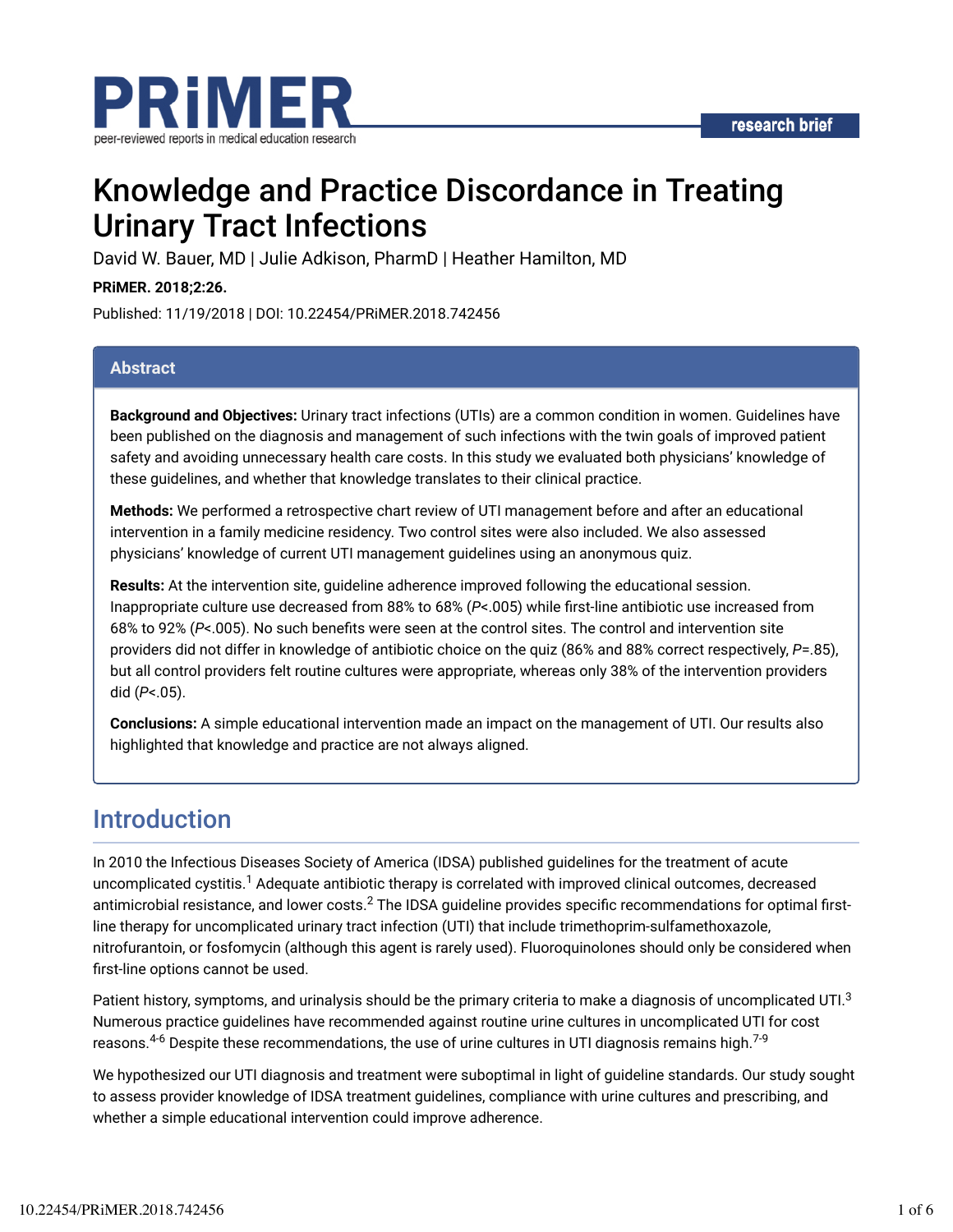

# Knowledge and Practice Discordance in Treating Urinary Tract Infections

David W. Bauer, MD | Julie Adkison, PharmD | Heather Hamilton, MD

**PRiMER. 2018;2:26.**

Published: 11/19/2018 | DOI: 10.22454/PRiMER.2018.742456

#### **Abstract**

**Background and Objectives:** Urinary tract infections (UTIs) are a common condition in women. Guidelines have been published on the diagnosis and management of such infections with the twin goals of improved patient safety and avoiding unnecessary health care costs. In this study we evaluated both physicians' knowledge of these guidelines, and whether that knowledge translates to their clinical practice.

**Methods:** We performed a retrospective chart review of UTI management before and after an educational intervention in a family medicine residency. Two control sites were also included. We also assessed physicians' knowledge of current UTI management guidelines using an anonymous quiz.

**Results:** At the intervention site, guideline adherence improved following the educational session. Inappropriate culture use decreased from 88% to 68% (P<.005) while first-line antibiotic use increased from 68% to 92% (P<.005). No such benefits were seen at the control sites. The control and intervention site providers did not differ in knowledge of antibiotic choice on the quiz (86% and 88% correct respectively, *P*=.85), but all control providers felt routine cultures were appropriate, whereas only 38% of the intervention providers did (*P*<.05).

**Conclusions:** A simple educational intervention made an impact on the management of UTI. Our results also highlighted that knowledge and practice are not always aligned.

### Introduction

In 2010 the Infectious Diseases Society of America (IDSA) published guidelines for the treatment of acute uncomplicated cystitis. $^1$  Adequate antibiotic therapy is correlated with improved clinical outcomes, decreased antimicrobial resistance, and lower costs. $^2$  The IDSA guideline provides specific recommendations for optimal firstline therapy for uncomplicated urinary tract infection (UTI) that include trimethoprim-sulfamethoxazole, nitrofurantoin, or fosfomycin (although this agent is rarely used). Fluoroquinolones should only be considered when first-line options cannot be used.

Patient history, symptoms, and urinalysis should be the primary criteria to make a diagnosis of uncomplicated UTI. $^3$ Numerous practice guidelines have recommended against routine urine cultures in uncomplicated UTI for cost reasons. $^{4\text{-}6}$  Despite these recommendations, the use of urine cultures in UTI diagnosis remains high. $^{7\text{-}9}$ 

We hypothesized our UTI diagnosis and treatment were suboptimal in light of guideline standards. Our study sought to assess provider knowledge of IDSA treatment guidelines, compliance with urine cultures and prescribing, and whether a simple educational intervention could improve adherence.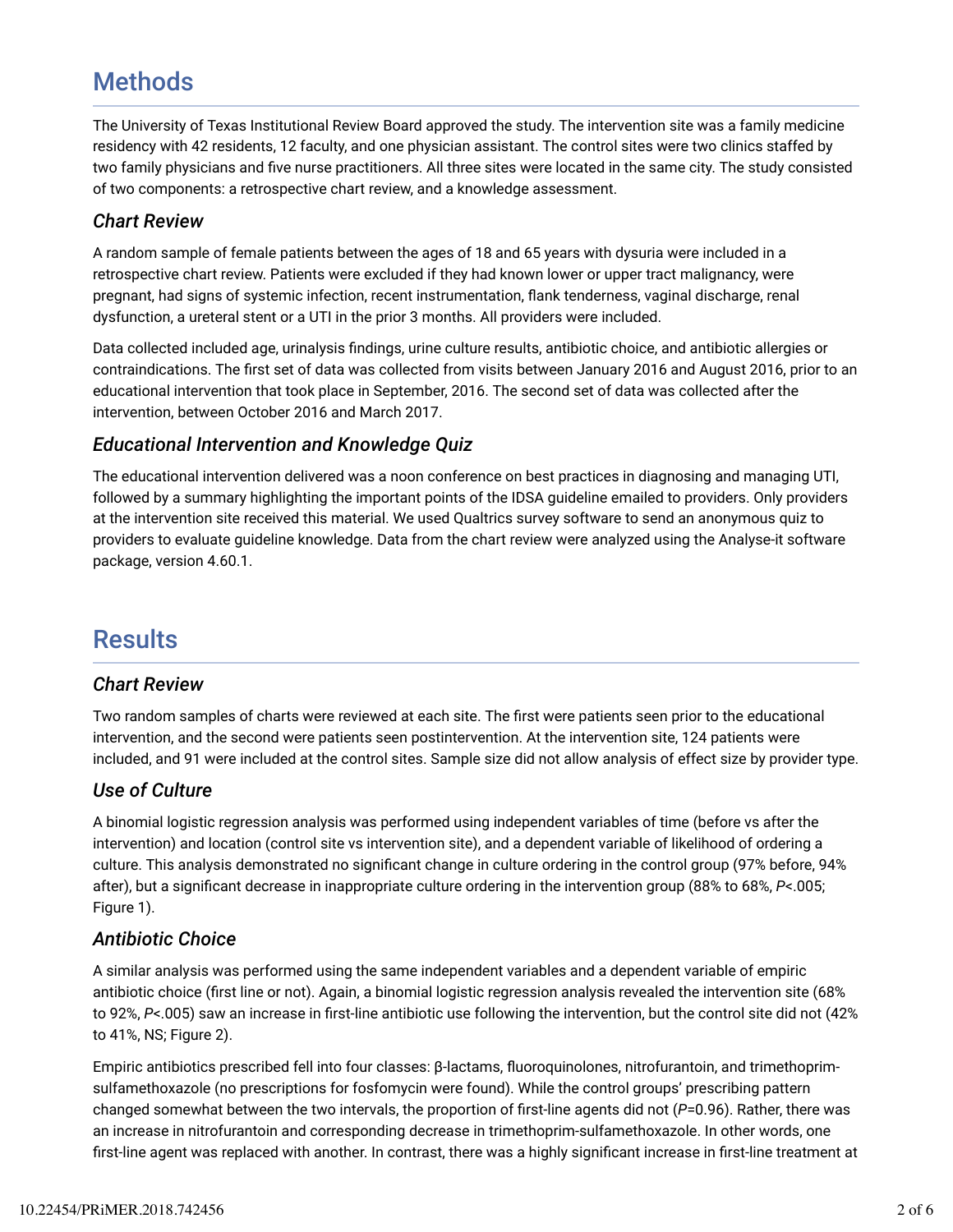## **Methods**

The University of Texas Institutional Review Board approved the study. The intervention site was a family medicine residency with 42 residents, 12 faculty, and one physician assistant. The control sites were two clinics staffed by two family physicians and five nurse practitioners. All three sites were located in the same city. The study consisted of two components: a retrospective chart review, and a knowledge assessment.

#### *Chart Review*

A random sample of female patients between the ages of 18 and 65 years with dysuria were included in a retrospective chart review. Patients were excluded if they had known lower or upper tract malignancy, were pregnant, had signs of systemic infection, recent instrumentation, dank tenderness, vaginal discharge, renal dysfunction, a ureteral stent or a UTI in the prior 3 months. All providers were included.

Data collected included age, urinalysis findings, urine culture results, antibiotic choice, and antibiotic allergies or contraindications. The first set of data was collected from visits between January 2016 and August 2016, prior to an educational intervention that took place in September, 2016. The second set of data was collected after the intervention, between October 2016 and March 2017.

#### *Educational Intervention and Knowledge Quiz*

The educational intervention delivered was a noon conference on best practices in diagnosing and managing UTI, followed by a summary highlighting the important points of the IDSA guideline emailed to providers. Only providers at the intervention site received this material. We used Qualtrics survey software to send an anonymous quiz to providers to evaluate guideline knowledge. Data from the chart review were analyzed using the Analyse-it software package, version 4.60.1.

### **Results**

#### *Chart Review*

Two random samples of charts were reviewed at each site. The first were patients seen prior to the educational intervention, and the second were patients seen postintervention. At the intervention site, 124 patients were included, and 91 were included at the control sites. Sample size did not allow analysis of effect size by provider type.

### *Use of Culture*

A binomial logistic regression analysis was performed using independent variables of time (before vs after the intervention) and location (control site vs intervention site), and a dependent variable of likelihood of ordering a culture. This analysis demonstrated no significant change in culture ordering in the control group (97% before, 94% after), but a significant decrease in inappropriate culture ordering in the intervention group (88% to 68%, P<.005; Figure 1).

### *Antibiotic Choice*

A similar analysis was performed using the same independent variables and a dependent variable of empiric antibiotic choice (first line or not). Again, a binomial logistic regression analysis revealed the intervention site (68% to 92%, P<.005) saw an increase in first-line antibiotic use following the intervention, but the control site did not (42% to 41%, NS; Figure 2).

Empiric antibiotics prescribed fell into four classes: β-lactams, duoroquinolones, nitrofurantoin, and trimethoprimsulfamethoxazole (no prescriptions for fosfomycin were found). While the control groups' prescribing pattern changed somewhat between the two intervals, the proportion of first-line agents did not (*P*=0.96). Rather, there was an increase in nitrofurantoin and corresponding decrease in trimethoprim-sulfamethoxazole. In other words, one first-line agent was replaced with another. In contrast, there was a highly significant increase in first-line treatment at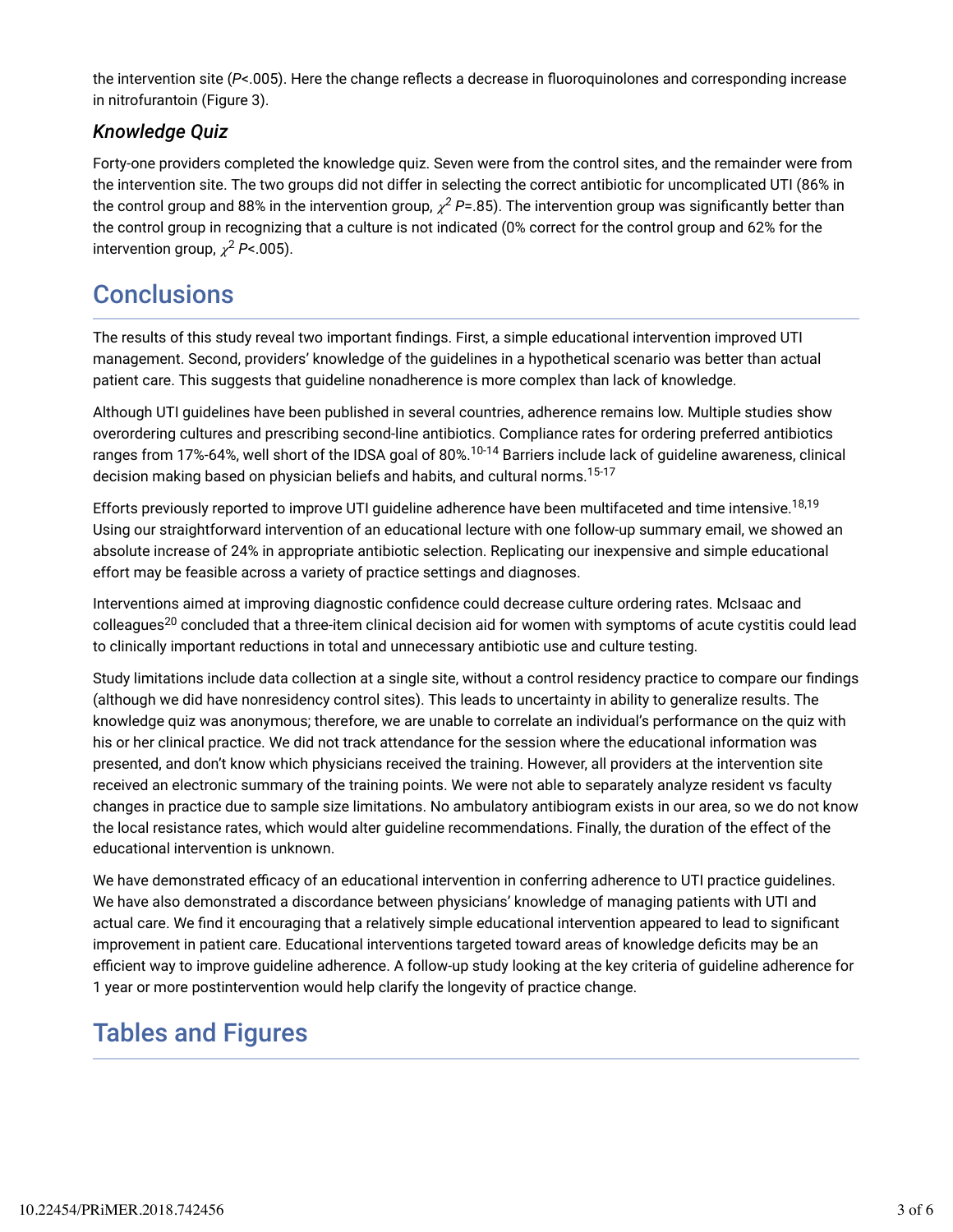the intervention site (P<.005). Here the change reflects a decrease in fluoroquinolones and corresponding increase in nitrofurantoin (Figure 3).

### *Knowledge Quiz*

Forty-one providers completed the knowledge quiz. Seven were from the control sites, and the remainder were from the intervention site. The two groups did not differ in selecting the correct antibiotic for uncomplicated UTI (86% in the control group and 88% in the intervention group,  $\chi^2$  P=.85). The intervention group was significantly better than the control group in recognizing that a culture is not indicated (0% correct for the control group and 62% for the intervention group,  $\chi^2$  P<.005).

### **Conclusions**

The results of this study reveal two important findings. First, a simple educational intervention improved UTI management. Second, providers' knowledge of the guidelines in a hypothetical scenario was better than actual patient care. This suggests that guideline nonadherence is more complex than lack of knowledge.

Although UTI guidelines have been published in several countries, adherence remains low. Multiple studies show overordering cultures and prescribing second-line antibiotics. Compliance rates for ordering preferred antibiotics ranges from 17%-64%, well short of the IDSA goal of 80%. $^{10\text{-}14}$  Barriers include lack of guideline awareness, clinical decision making based on physician beliefs and habits, and cultural norms.<sup>15-17</sup>

Efforts previously reported to improve UTI guideline adherence have been multifaceted and time intensive.<sup>18,19</sup> Using our straightforward intervention of an educational lecture with one follow-up summary email, we showed an absolute increase of 24% in appropriate antibiotic selection. Replicating our inexpensive and simple educational effort may be feasible across a variety of practice settings and diagnoses.

Interventions aimed at improving diagnostic confidence could decrease culture ordering rates. McIsaac and colleagues<sup>20</sup> concluded that a three-item clinical decision aid for women with symptoms of acute cystitis could lead to clinically important reductions in total and unnecessary antibiotic use and culture testing.

Study limitations include data collection at a single site, without a control residency practice to compare our findings (although we did have nonresidency control sites). This leads to uncertainty in ability to generalize results. The knowledge quiz was anonymous; therefore, we are unable to correlate an individual's performance on the quiz with his or her clinical practice. We did not track attendance for the session where the educational information was presented, and don't know which physicians received the training. However, all providers at the intervention site received an electronic summary of the training points. We were not able to separately analyze resident vs faculty changes in practice due to sample size limitations. No ambulatory antibiogram exists in our area, so we do not know the local resistance rates, which would alter guideline recommendations. Finally, the duration of the effect of the educational intervention is unknown.

We have demonstrated efficacy of an educational intervention in conferring adherence to UTI practice guidelines. We have also demonstrated a discordance between physicians' knowledge of managing patients with UTI and actual care. We find it encouraging that a relatively simple educational intervention appeared to lead to significant improvement in patient care. Educational interventions targeted toward areas of knowledge deficits may be an efficient way to improve guideline adherence. A follow-up study looking at the key criteria of guideline adherence for 1 year or more postintervention would help clarify the longevity of practice change.

## Tables and Figures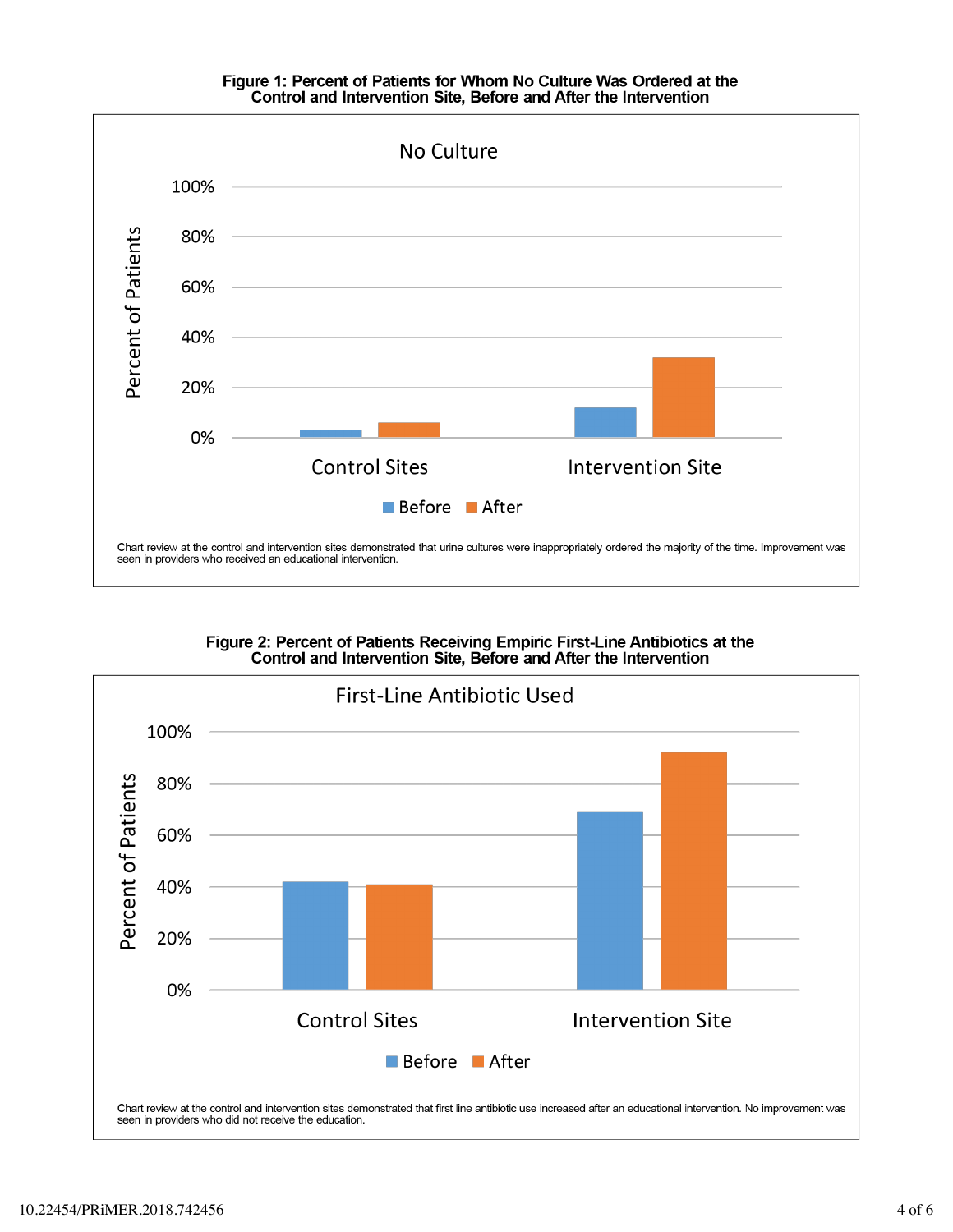# Figure 1: Percent of Patients for Whom No Culture Was Ordered at the<br>Control and Intervention Site, Before and After the Intervention



Figure 2: Percent of Patients Receiving Empiric First-Line Antibiotics at the<br>Control and Intervention Site, Before and After the Intervention

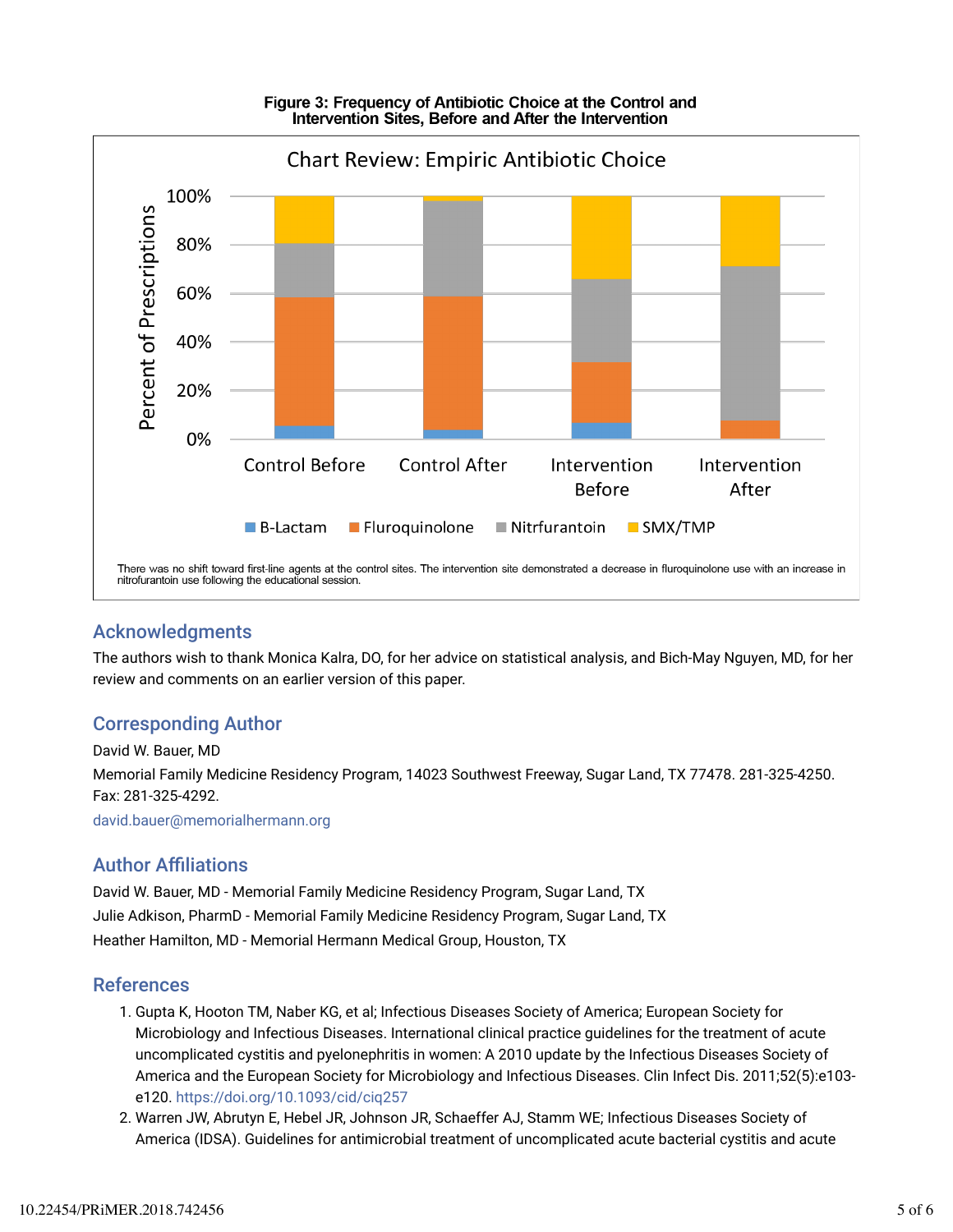

#### Figure 3: Frequency of Antibiotic Choice at the Control and Intervention Sites, Before and After the Intervention

#### Acknowledgments

The authors wish to thank Monica Kalra, DO, for her advice on statistical analysis, and Bich-May Nguyen, MD, for her review and comments on an earlier version of this paper.

### Corresponding Author

David W. Bauer, MD Memorial Family Medicine Residency Program, 14023 Southwest Freeway, Sugar Land, TX 77478. 281-325-4250. Fax: 281-325-4292.

david.bauer@memorialhermann.org

#### **Author Affiliations**

David W. Bauer, MD - Memorial Family Medicine Residency Program, Sugar Land, TX Julie Adkison, PharmD - Memorial Family Medicine Residency Program, Sugar Land, TX Heather Hamilton, MD - Memorial Hermann Medical Group, Houston, TX

#### References

- 1. Gupta K, Hooton TM, Naber KG, et al; Infectious Diseases Society of America; European Society for Microbiology and Infectious Diseases. International clinical practice guidelines for the treatment of acute uncomplicated cystitis and pyelonephritis in women: A 2010 update by the Infectious Diseases Society of America and the European Society for Microbiology and Infectious Diseases. Clin Infect Dis. 2011;52(5):e103 e120. https://doi.org/10.1093/cid/ciq257
- 2. Warren JW, Abrutyn E, Hebel JR, Johnson JR, Schaeffer AJ, Stamm WE; Infectious Diseases Society of America (IDSA). Guidelines for antimicrobial treatment of uncomplicated acute bacterial cystitis and acute